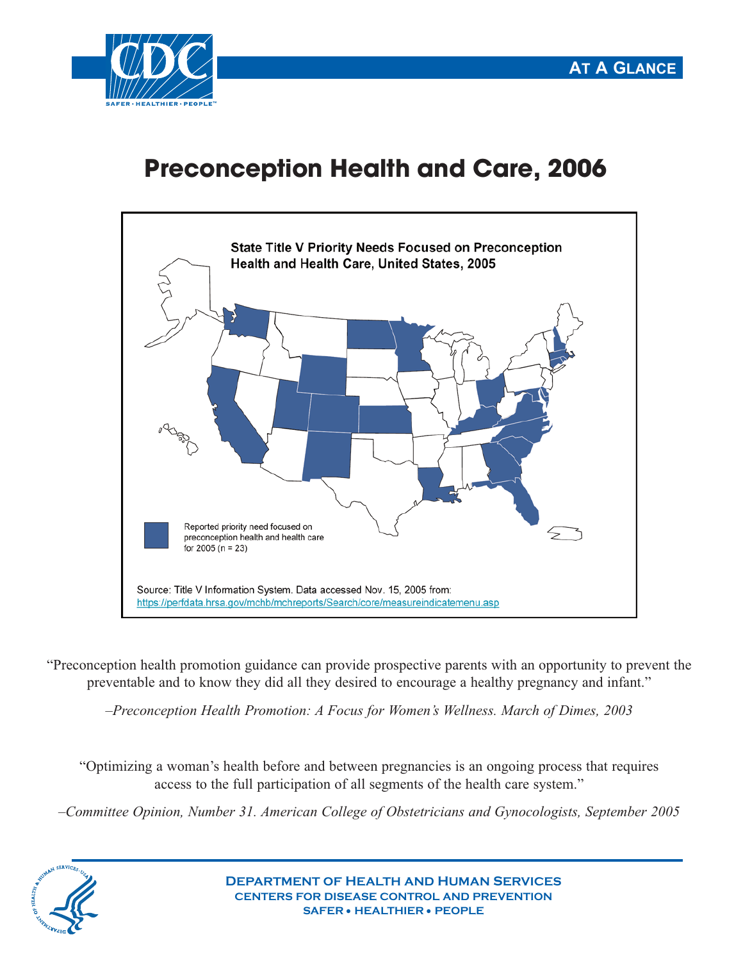

## **Preconception Health and Care, 2006**



"Preconception health promotion guidance can provide prospective parents with an opportunity to prevent the preventable and to know they did all they desired to encourage a healthy pregnancy and infant."

*–Preconception Health Promotion: A Focus for Women's Wellness. March of Dimes, 2003*

"Optimizing a woman's health before and between pregnancies is an ongoing process that requires access to the full participation of all segments of the health care system."

*–Committee Opinion, Number 31. American College of Obstetricians and Gynocologists, September 2005*



**DEPARTMENT OF HEALTH AND HUMAN SERVICES CENTERS FOR DISEASE CONTROL AND PREVENTION SAFER** • **HEALTHIER** • **PEOPLE**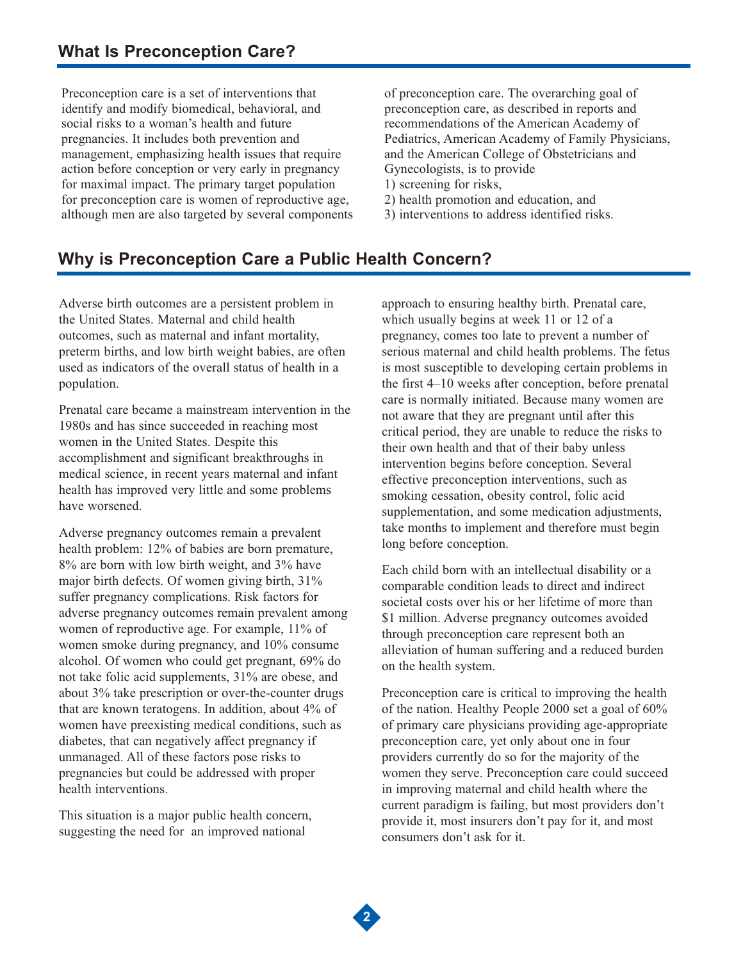Preconception care is a set of interventions that identify and modify biomedical, behavioral, and social risks to a woman's health and future pregnancies. It includes both prevention and management, emphasizing health issues that require action before conception or very early in pregnancy for maximal impact. The primary target population for preconception care is women of reproductive age, although men are also targeted by several components

of preconception care. The overarching goal of preconception care, as described in reports and recommendations of the American Academy of Pediatrics, American Academy of Family Physicians, and the American College of Obstetricians and Gynecologists, is to provide 1) screening for risks,

2) health promotion and education, and

3) interventions to address identified risks.

## **Why is Preconception Care a Public Health Concern?**

Adverse birth outcomes are a persistent problem in the United States. Maternal and child health outcomes, such as maternal and infant mortality, preterm births, and low birth weight babies, are often used as indicators of the overall status of health in a population.

Prenatal care became a mainstream intervention in the 1980s and has since succeeded in reaching most women in the United States. Despite this accomplishment and significant breakthroughs in medical science, in recent years maternal and infant health has improved very little and some problems have worsened.

Adverse pregnancy outcomes remain a prevalent health problem: 12% of babies are born premature, 8% are born with low birth weight, and 3% have major birth defects. Of women giving birth, 31% suffer pregnancy complications. Risk factors for adverse pregnancy outcomes remain prevalent among women of reproductive age. For example, 11% of women smoke during pregnancy, and 10% consume alcohol. Of women who could get pregnant, 69% do not take folic acid supplements, 31% are obese, and about 3% take prescription or over-the-counter drugs that are known teratogens. In addition, about 4% of women have preexisting medical conditions, such as diabetes, that can negatively affect pregnancy if unmanaged. All of these factors pose risks to pregnancies but could be addressed with proper health interventions.

This situation is a major public health concern, suggesting the need for an improved national

approach to ensuring healthy birth. Prenatal care, which usually begins at week 11 or 12 of a pregnancy, comes too late to prevent a number of serious maternal and child health problems. The fetus is most susceptible to developing certain problems in the first 4–10 weeks after conception, before prenatal care is normally initiated. Because many women are not aware that they are pregnant until after this critical period, they are unable to reduce the risks to their own health and that of their baby unless intervention begins before conception. Several effective preconception interventions, such as smoking cessation, obesity control, folic acid supplementation, and some medication adjustments, take months to implement and therefore must begin long before conception.

Each child born with an intellectual disability or a comparable condition leads to direct and indirect societal costs over his or her lifetime of more than \$1 million. Adverse pregnancy outcomes avoided through preconception care represent both an alleviation of human suffering and a reduced burden on the health system.

Preconception care is critical to improving the health of the nation. Healthy People 2000 set a goal of 60% of primary care physicians providing age-appropriate preconception care, yet only about one in four providers currently do so for the majority of the women they serve. Preconception care could succeed in improving maternal and child health where the current paradigm is failing, but most providers don't provide it, most insurers don't pay for it, and most consumers don't ask for it.

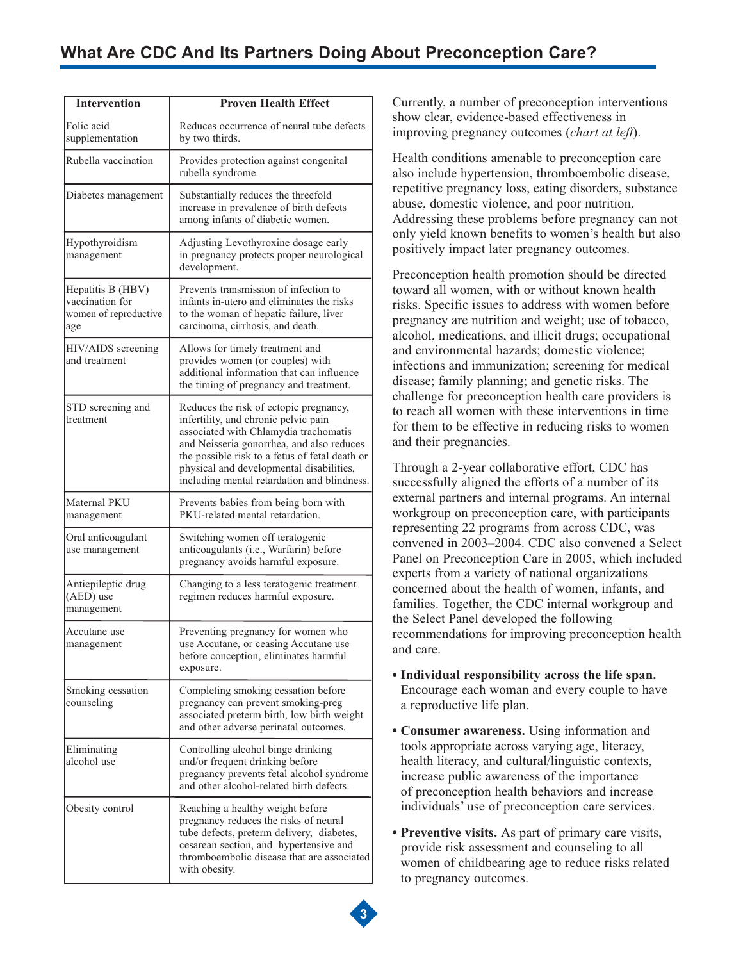| <b>Intervention</b>                                                  | <b>Proven Health Effect</b>                                                                                                                                                                                                                                                                                       |
|----------------------------------------------------------------------|-------------------------------------------------------------------------------------------------------------------------------------------------------------------------------------------------------------------------------------------------------------------------------------------------------------------|
| Folic acid<br>supplementation                                        | Reduces occurrence of neural tube defects<br>by two thirds.                                                                                                                                                                                                                                                       |
| Rubella vaccination                                                  | Provides protection against congenital<br>rubella syndrome.                                                                                                                                                                                                                                                       |
| Diabetes management                                                  | Substantially reduces the threefold<br>increase in prevalence of birth defects<br>among infants of diabetic women.                                                                                                                                                                                                |
| Hypothyroidism<br>management                                         | Adjusting Levothyroxine dosage early<br>in pregnancy protects proper neurological<br>development.                                                                                                                                                                                                                 |
| Hepatitis B (HBV)<br>vaccination for<br>women of reproductive<br>age | Prevents transmission of infection to<br>infants in-utero and eliminates the risks<br>to the woman of hepatic failure, liver<br>carcinoma, cirrhosis, and death.                                                                                                                                                  |
| HIV/AIDS screening<br>and treatment                                  | Allows for timely treatment and<br>provides women (or couples) with<br>additional information that can influence<br>the timing of pregnancy and treatment.                                                                                                                                                        |
| STD screening and<br>treatment                                       | Reduces the risk of ectopic pregnancy,<br>infertility, and chronic pelvic pain<br>associated with Chlamydia trachomatis<br>and Neisseria gonorrhea, and also reduces<br>the possible risk to a fetus of fetal death or<br>physical and developmental disabilities,<br>including mental retardation and blindness. |
| Maternal PKU<br>management                                           | Prevents babies from being born with<br>PKU-related mental retardation.                                                                                                                                                                                                                                           |
| Oral anticoagulant<br>use management                                 | Switching women off teratogenic<br>anticoagulants (i.e., Warfarin) before<br>pregnancy avoids harmful exposure.                                                                                                                                                                                                   |
| Antiepileptic drug<br>(AED) use<br>management                        | Changing to a less teratogenic treatment<br>regimen reduces harmful exposure.                                                                                                                                                                                                                                     |
| Accutane use<br>management                                           | Preventing pregnancy for women who<br>use Accutane, or ceasing Accutane use<br>before conception, eliminates harmful<br>exposure.                                                                                                                                                                                 |
| Smoking cessation<br>counseling                                      | Completing smoking cessation before<br>pregnancy can prevent smoking-preg<br>associated preterm birth, low birth weight<br>and other adverse perinatal outcomes.                                                                                                                                                  |
| Eliminating<br>alcohol use                                           | Controlling alcohol binge drinking<br>and/or frequent drinking before<br>pregnancy prevents fetal alcohol syndrome<br>and other alcohol-related birth defects.                                                                                                                                                    |
| Obesity control                                                      | Reaching a healthy weight before<br>pregnancy reduces the risks of neural<br>tube defects, preterm delivery, diabetes,<br>cesarean section, and hypertensive and<br>thromboembolic disease that are associated<br>with obesity.                                                                                   |

Currently, a number of preconception interventions show clear, evidence-based effectiveness in improving pregnancy outcomes (*chart at left*).

Health conditions amenable to preconception care also include hypertension, thromboembolic disease, repetitive pregnancy loss, eating disorders, substance abuse, domestic violence, and poor nutrition. Addressing these problems before pregnancy can not only yield known benefits to women's health but also positively impact later pregnancy outcomes.

Preconception health promotion should be directed toward all women, with or without known health risks. Specific issues to address with women before pregnancy are nutrition and weight; use of tobacco, alcohol, medications, and illicit drugs; occupational and environmental hazards; domestic violence; infections and immunization; screening for medical disease; family planning; and genetic risks. The challenge for preconception health care providers is to reach all women with these interventions in time for them to be effective in reducing risks to women and their pregnancies.

Through a 2-year collaborative effort, CDC has successfully aligned the efforts of a number of its external partners and internal programs. An internal workgroup on preconception care, with participants representing 22 programs from across CDC, was convened in 2003–2004. CDC also convened a Select Panel on Preconception Care in 2005, which included experts from a variety of national organizations concerned about the health of women, infants, and families. Together, the CDC internal workgroup and the Select Panel developed the following recommendations for improving preconception health and care.

- **Individual responsibility across the life span.** Encourage each woman and every couple to have a reproductive life plan.
- **Consumer awareness.** Using information and tools appropriate across varying age, literacy, health literacy, and cultural/linguistic contexts, increase public awareness of the importance of preconception health behaviors and increase individuals' use of preconception care services.
- **Preventive visits.** As part of primary care visits, provide risk assessment and counseling to all women of childbearing age to reduce risks related to pregnancy outcomes.

**3**